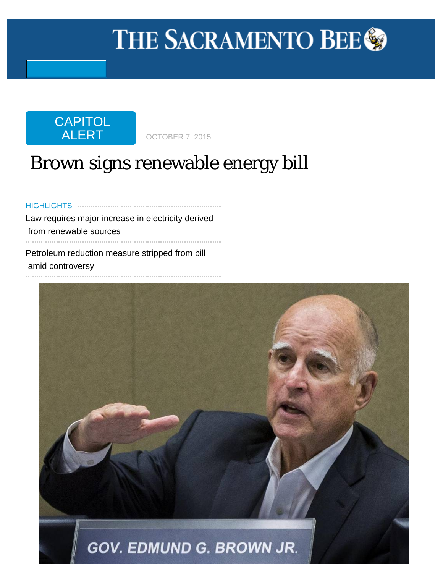# <span id="page-0-0"></span>THE SACRAMENTO BEE<sup>®</sup>



## Brown signs renewable energy bill

HIGHLIGHTSLaw requires major increase in electricity derived from renewable sources Petroleum reduction measure stripped from bill

amid controversy

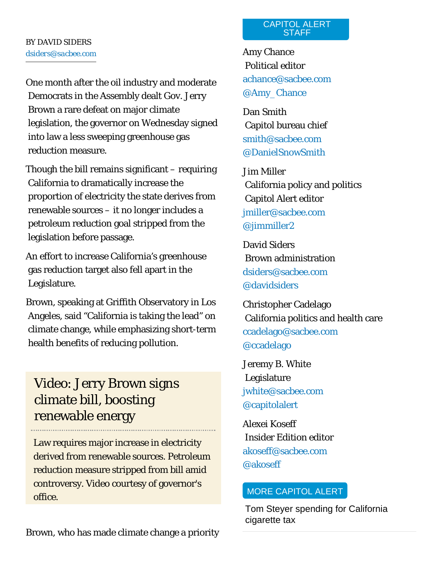One month after the oil industry and moderate Democrats in the Assembly dealt Gov. Jerry Brown a rare defeat on major climate legislation, the governor on Wednesday signed into law a less sweeping greenhouse gas reduction measure.

Though the bill remains significant – requiring California to dramatically increase the proportion of electricity the state derives from renewable sources – it no longer includes a petroleum reduction goal stripped from the legislation before passage.

An effort to increase California's greenhouse gas reduction target also fell apart in the Legislature.

Brown, speaking at Griffith Observatory in Los Angeles, said "California is taking the lead" on climate change, while emphasizing short-term health benefits of reducing pollution.

## [Video: Jerry Brown signs](http://www.sacbee.com/news/politics-government/capitol-alert/article38101920.html)  [climate bill, boosting](http://www.sacbee.com/news/politics-government/capitol-alert/article38101920.html)  [renewable energy](http://www.sacbee.com/news/politics-government/capitol-alert/article38101920.html)

Law requires major increase in electricity derived from renewable sources. Petroleum reduction measure stripped from bill amid controversy. Video courtesy of governor's office.

Brown, who has made climate change a priority

#### CAPITOL ALERT **STAFF**

Amy Chance Political editor [achance@sacbee.com](mailto:achance@sacbee.com) [@Amy\\_Chance](https://twitter.com/Amy_Chance)

Dan Smith Capitol bureau chief [smith@sacbee.com](mailto:smith@sacbee.com) [@DanielSnowSmith](https://twitter.com/DanielSnowSmith)

Jim Miller California policy and politics Capitol Alert editor [jmiller@sacbee.com](mailto:jmiller@sacbee.com) [@jimmiller2](https://twitter.com/jimmiller2)

David Siders Brown administration [dsiders@sacbee.com](mailto:dsiders@sacbee.com) [@davidsiders](https://twitter.com/davidsiders)

Christopher Cadelago California politics and health care [ccadelago@sacbee.com](mailto:ccadelago@sacbee.com) [@ccadelago](https://twitter.com/ccadelago)

Jeremy B. White Legislature [jwhite@sacbee.com](mailto:jwhite@sacbee.com) [@capitolalert](https://twitter.com/CapitolAlert)

Alexei Koseff Insider Edition editor [akoseff@sacbee.com](mailto:akoseff@sacbee.com) [@akoseff](https://twitter.com/akoseff)

### MORE [CAPITOL ALERT](http://www.sacbee.com/news/politics-government/capitol-alert/)

[Tom Steyer spending for California](http://www.sacbee.com/news/politics-government/capitol-alert/article38153034.html)  [cigarette tax](http://www.sacbee.com/news/politics-government/capitol-alert/article38153034.html)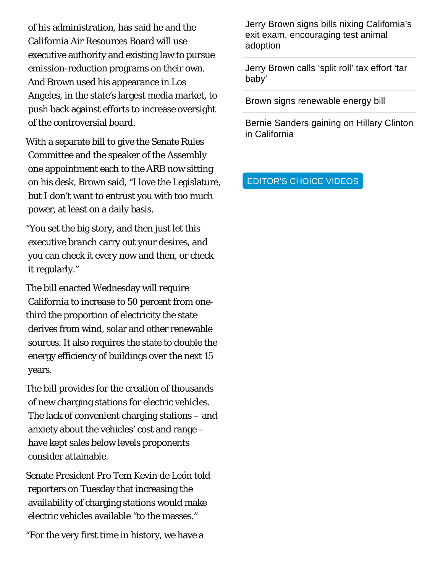of his administration, has said he and the California Air Resources Board will use executive authority and existing law to pursue emission-reduction programs on their own. And Brown used his appearance in Los Angeles, in the state's largest media market, to push back against efforts to increase oversight of the controversial board.

With a separate bill to give the Senate Rules Committee and the speaker of the Assembly one appointment each to the ARB now sitting on his desk, Brown said, "I love the Legislature, but I don't want to entrust you with too much power, at least on a daily basis.

"You set the big story, and then just let this executive branch carry out your desires, and you can check it every now and then, or check it regularly."

The bill enacted Wednesday will require California to increase to 50 percent from onethird the proportion of electricity the state derives from wind, solar and other renewable sources. It also requires the state to double the energy efficiency of buildings over the next 15 years.

The bill provides for the creation of thousands of new charging stations for electric vehicles. The lack of convenient charging stations – and anxiety about the vehicles' cost and range – have kept sales below levels proponents consider attainable.

Senate President Pro Tem Kevin de León told reporters on Tuesday that increasing the availability of charging stations would make electric vehicles available "to the masses."

"For the very first time in history, we have a

[Jerry Brown signs bills nixing California's](http://www.sacbee.com/news/politics-government/capitol-alert/article38124054.html)  [exit exam, encouraging test animal](http://www.sacbee.com/news/politics-government/capitol-alert/article38124054.html)  [adoption](http://www.sacbee.com/news/politics-government/capitol-alert/article38124054.html)

[Jerry Brown calls 'split roll' tax effort 'tar](http://www.sacbee.com/news/politics-government/capitol-alert/article38121273.html)  [baby'](http://www.sacbee.com/news/politics-government/capitol-alert/article38121273.html)

[Brown signs renewable energy bill](#page-0-0)

[Bernie Sanders gaining on Hillary Clinton](http://www.sacbee.com/news/politics-government/capitol-alert/article38007336.html)  [in California](http://www.sacbee.com/news/politics-government/capitol-alert/article38007336.html)

EDITOR'S CHOICE VIDEOS